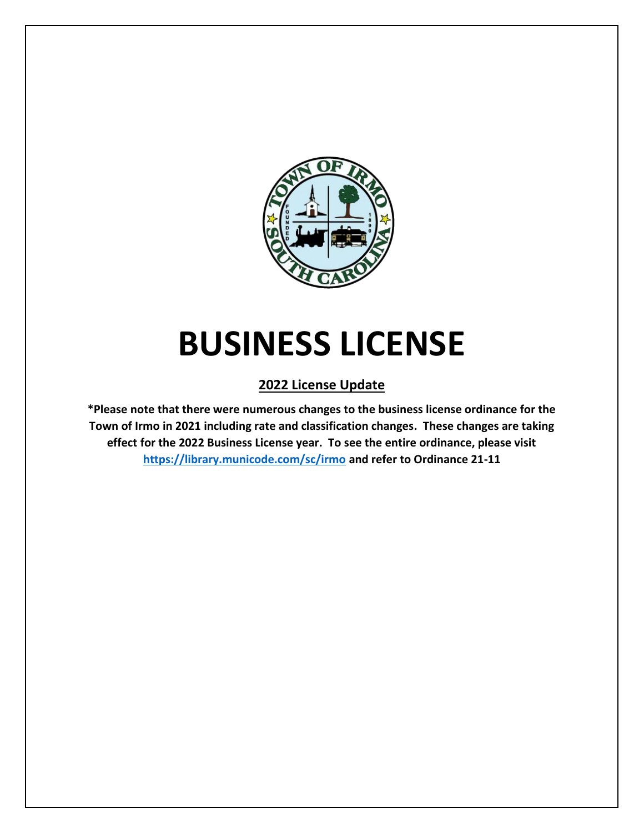

# **BUSINESS LICENSE**

## **2022 License Update**

**\*Please note that there were numerous changes to the business license ordinance for the Town of Irmo in 2021 including rate and classification changes. These changes are taking effect for the 2022 Business License year. To see the entire ordinance, please visit <https://library.municode.com/sc/irmo> and refer to Ordinance 21-11**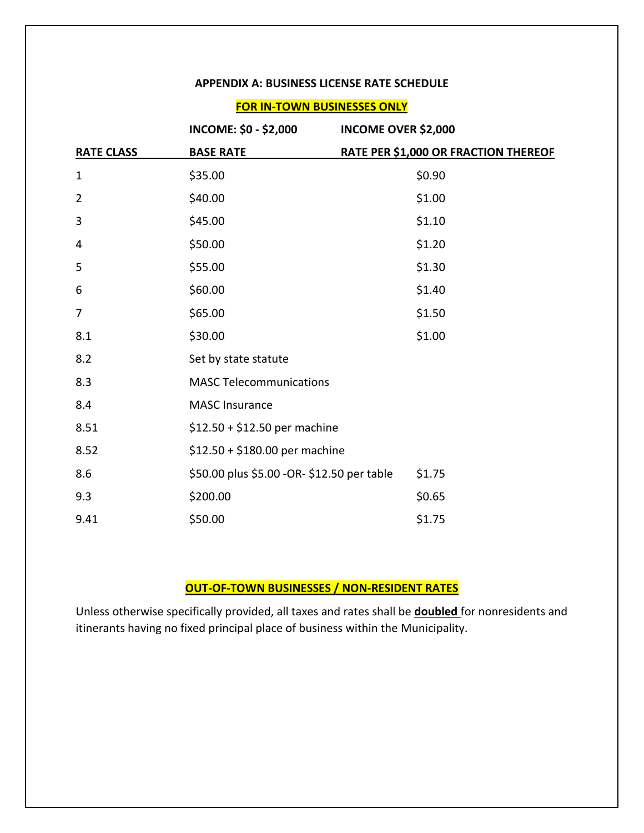#### **APPENDIX A: BUSINESS LICENSE RATE SCHEDULE**

#### **FOR IN-TOWN BUSINESSES ONLY**

|                   | INCOME: \$0 - \$2,000                      | <b>INCOME OVER \$2,000</b>           |
|-------------------|--------------------------------------------|--------------------------------------|
| <b>RATE CLASS</b> | <b>BASE RATE</b>                           | RATE PER \$1,000 OR FRACTION THEREOF |
| 1                 | \$35.00                                    | \$0.90                               |
| $\overline{2}$    | \$40.00                                    | \$1.00                               |
| 3                 | \$45.00                                    | \$1.10                               |
| 4                 | \$50.00                                    | \$1.20                               |
| 5                 | \$55.00                                    | \$1.30                               |
| 6                 | \$60.00                                    | \$1.40                               |
| 7                 | \$65.00                                    | \$1.50                               |
| 8.1               | \$30.00                                    | \$1.00                               |
| 8.2               | Set by state statute                       |                                      |
| 8.3               | <b>MASC Telecommunications</b>             |                                      |
| 8.4               | <b>MASC Insurance</b>                      |                                      |
| 8.51              | $$12.50 + $12.50$ per machine              |                                      |
| 8.52              | $$12.50 + $180.00$ per machine             |                                      |
| 8.6               | \$50.00 plus \$5.00 -OR- \$12.50 per table | \$1.75                               |
| 9.3               | \$200.00                                   | \$0.65                               |
| 9.41              | \$50.00                                    | \$1.75                               |

## **OUT-OF-TOWN BUSINESSES / NON-RESIDENT RATES**

Unless otherwise specifically provided, all taxes and rates shall be **doubled** for nonresidents and itinerants having no fixed principal place of business within the Municipality.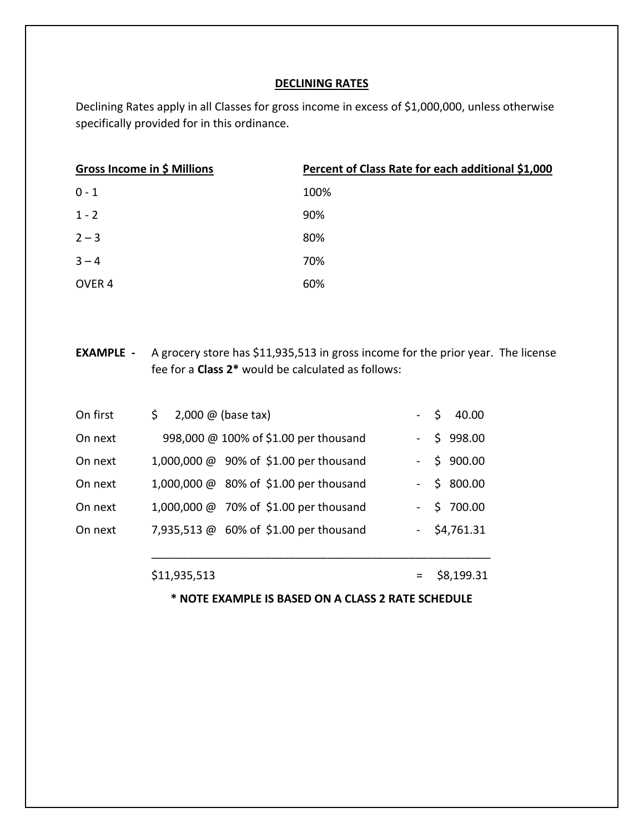#### **DECLINING RATES**

Declining Rates apply in all Classes for gross income in excess of \$1,000,000, unless otherwise specifically provided for in this ordinance.

| Gross Income in \$ Millions | Percent of Class Rate for each additional \$1,000 |
|-----------------------------|---------------------------------------------------|
| $0 - 1$                     | 100%                                              |
| $1 - 2$                     | 90%                                               |
| $2 - 3$                     | 80%                                               |
| $3 - 4$                     | 70%                                               |
| OVER <sub>4</sub>           | 60%                                               |

**EXAMPLE -** A grocery store has \$11,935,513 in gross income for the prior year. The license fee for a **Class 2\*** would be calculated as follows:

| On first | 2,000 $@$ (base tax)<br>\$ |                                        | $-$ \$ 40.00   |
|----------|----------------------------|----------------------------------------|----------------|
| On next  |                            | 998,000 @ 100% of \$1.00 per thousand  | $-$ \$ 998.00  |
| On next  |                            | 1,000,000 @ 90% of \$1.00 per thousand | $-$ \$ 900.00  |
| On next  |                            | 1,000,000 @ 80% of \$1.00 per thousand | $-$ \$ 800.00  |
| On next  |                            | 1,000,000 @ 70% of \$1.00 per thousand | $-$ \$ 700.00  |
| On next  |                            | 7,935,513 @ 60% of \$1.00 per thousand | $-$ \$4,761.31 |
|          |                            |                                        |                |

 $$11,935,513$  = \$8,199.31

**\* NOTE EXAMPLE IS BASED ON A CLASS 2 RATE SCHEDULE**

\_\_\_\_\_\_\_\_\_\_\_\_\_\_\_\_\_\_\_\_\_\_\_\_\_\_\_\_\_\_\_\_\_\_\_\_\_\_\_\_\_\_\_\_\_\_\_\_\_\_\_\_\_\_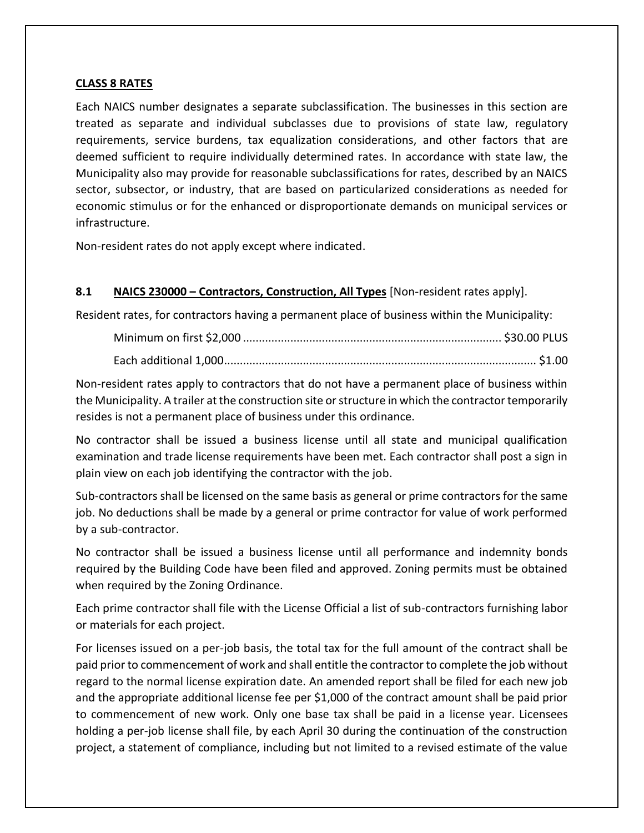#### **CLASS 8 RATES**

Each NAICS number designates a separate subclassification. The businesses in this section are treated as separate and individual subclasses due to provisions of state law, regulatory requirements, service burdens, tax equalization considerations, and other factors that are deemed sufficient to require individually determined rates. In accordance with state law, the Municipality also may provide for reasonable subclassifications for rates, described by an NAICS sector, subsector, or industry, that are based on particularized considerations as needed for economic stimulus or for the enhanced or disproportionate demands on municipal services or infrastructure.

Non-resident rates do not apply except where indicated.

#### **8.1 NAICS 230000 – Contractors, Construction, All Types** [Non-resident rates apply].

Resident rates, for contractors having a permanent place of business within the Municipality:

Non-resident rates apply to contractors that do not have a permanent place of business within the Municipality. A trailer at the construction site or structure in which the contractor temporarily resides is not a permanent place of business under this ordinance.

No contractor shall be issued a business license until all state and municipal qualification examination and trade license requirements have been met. Each contractor shall post a sign in plain view on each job identifying the contractor with the job.

Sub-contractors shall be licensed on the same basis as general or prime contractors for the same job. No deductions shall be made by a general or prime contractor for value of work performed by a sub-contractor.

No contractor shall be issued a business license until all performance and indemnity bonds required by the Building Code have been filed and approved. Zoning permits must be obtained when required by the Zoning Ordinance.

Each prime contractor shall file with the License Official a list of sub-contractors furnishing labor or materials for each project.

For licenses issued on a per-job basis, the total tax for the full amount of the contract shall be paid prior to commencement of work and shall entitle the contractor to complete the job without regard to the normal license expiration date. An amended report shall be filed for each new job and the appropriate additional license fee per \$1,000 of the contract amount shall be paid prior to commencement of new work. Only one base tax shall be paid in a license year. Licensees holding a per-job license shall file, by each April 30 during the continuation of the construction project, a statement of compliance, including but not limited to a revised estimate of the value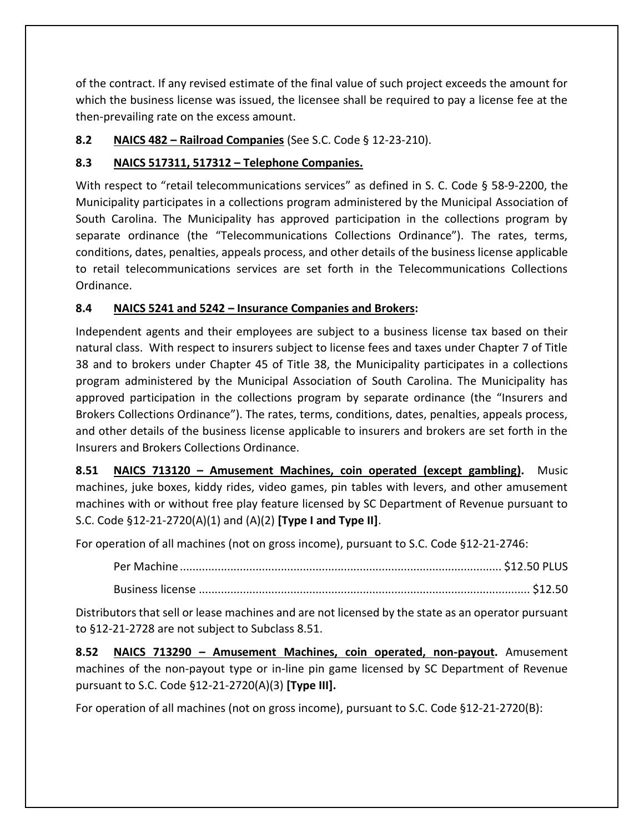of the contract. If any revised estimate of the final value of such project exceeds the amount for which the business license was issued, the licensee shall be required to pay a license fee at the then-prevailing rate on the excess amount.

## **8.2 NAICS 482 – Railroad Companies** (See S.C. Code § 12-23-210).

## **8.3 NAICS 517311, 517312 – Telephone Companies.**

With respect to "retail telecommunications services" as defined in S. C. Code § 58-9-2200, the Municipality participates in a collections program administered by the Municipal Association of South Carolina. The Municipality has approved participation in the collections program by separate ordinance (the "Telecommunications Collections Ordinance"). The rates, terms, conditions, dates, penalties, appeals process, and other details of the business license applicable to retail telecommunications services are set forth in the Telecommunications Collections Ordinance.

## **8.4 NAICS 5241 and 5242 – Insurance Companies and Brokers:**

Independent agents and their employees are subject to a business license tax based on their natural class. With respect to insurers subject to license fees and taxes under Chapter 7 of Title 38 and to brokers under Chapter 45 of Title 38, the Municipality participates in a collections program administered by the Municipal Association of South Carolina. The Municipality has approved participation in the collections program by separate ordinance (the "Insurers and Brokers Collections Ordinance"). The rates, terms, conditions, dates, penalties, appeals process, and other details of the business license applicable to insurers and brokers are set forth in the Insurers and Brokers Collections Ordinance.

**8.51 NAICS 713120 – Amusement Machines, coin operated (except gambling).** Music machines, juke boxes, kiddy rides, video games, pin tables with levers, and other amusement machines with or without free play feature licensed by SC Department of Revenue pursuant to S.C. Code §12-21-2720(A)(1) and (A)(2) **[Type I and Type II]**.

For operation of all machines (not on gross income), pursuant to S.C. Code §12-21-2746:

Distributors that sell or lease machines and are not licensed by the state as an operator pursuant to §12-21-2728 are not subject to Subclass 8.51.

**8.52 NAICS 713290 – Amusement Machines, coin operated, non-payout.** Amusement machines of the non-payout type or in-line pin game licensed by SC Department of Revenue pursuant to S.C. Code §12-21-2720(A)(3) **[Type III].**

For operation of all machines (not on gross income), pursuant to S.C. Code §12-21-2720(B):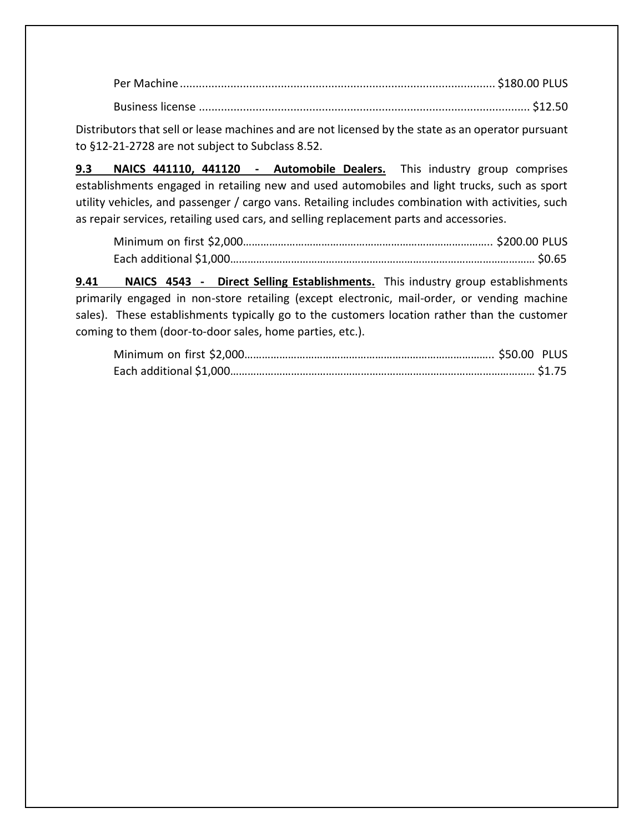Per Machine.................................................................................................... \$180.00 PLUS Business license ......................................................................................................... \$12.50

Distributors that sell or lease machines and are not licensed by the state as an operator pursuant to §12-21-2728 are not subject to Subclass 8.52.

**9.3 NAICS 441110, 441120 - Automobile Dealers.** This industry group comprises establishments engaged in retailing new and used automobiles and light trucks, such as sport utility vehicles, and passenger / cargo vans. Retailing includes combination with activities, such as repair services, retailing used cars, and selling replacement parts and accessories.

**9.41 NAICS 4543 - Direct Selling Establishments.** This industry group establishments primarily engaged in non-store retailing (except electronic, mail-order, or vending machine sales). These establishments typically go to the customers location rather than the customer coming to them (door-to-door sales, home parties, etc.).